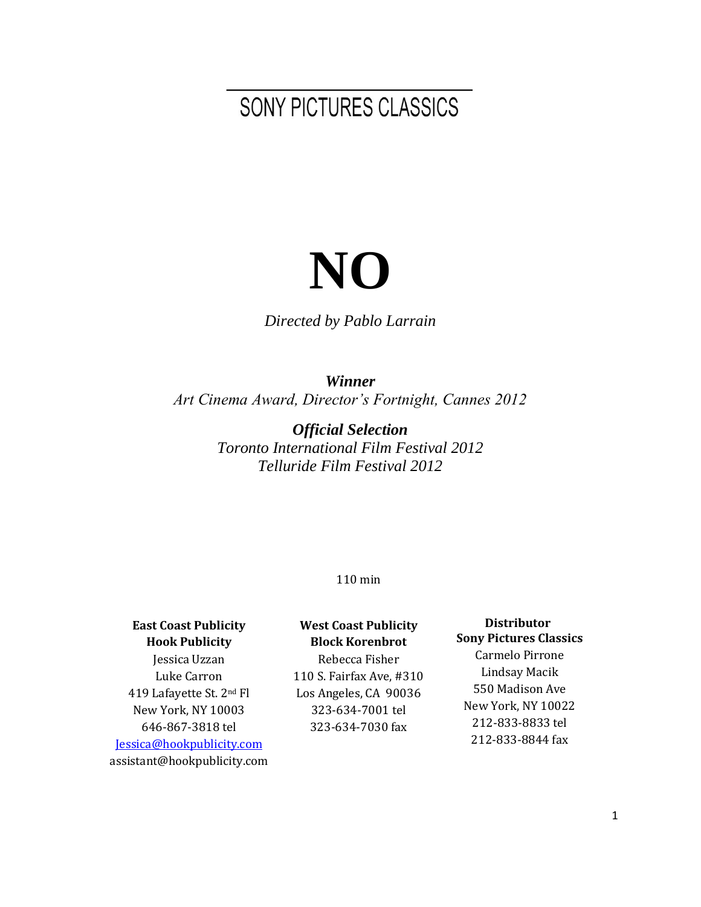## SONY PICTURES CLASSICS

# **NO**

*Directed by Pablo Larrain*

*Winner Art Cinema Award, Director's Fortnight, Cannes 2012*

> *Official Selection Toronto International Film Festival 2012 Telluride Film Festival 2012*

#### 110 min

#### **East Coast Publicity Hook Publicity** Jessica Uzzan Luke Carron

419 Lafayette St. 2nd Fl New York, NY 10003 646-867-3818 tel [Jessica@hookpublicity.com](mailto:Jessica@hookpublicity.com) assistant@hookpublicity.com

#### **West Coast Publicity Block Korenbrot**

Rebecca Fisher 110 S. Fairfax Ave, #310 Los Angeles, CA 90036 323-634-7001 tel 323-634-7030 fax

#### **Distributor Sony Pictures Classics**

Carmelo Pirrone Lindsay Macik 550 Madison Ave New York, NY 10022 212-833-8833 tel 212-833-8844 fax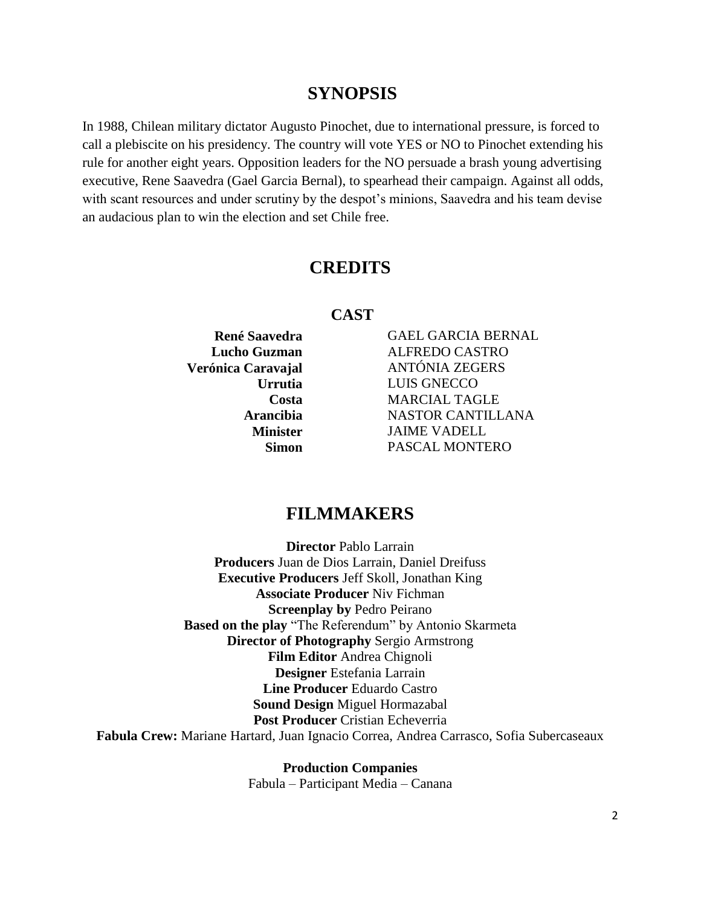#### **SYNOPSIS**

In 1988, Chilean military dictator Augusto Pinochet, due to international pressure, is forced to call a plebiscite on his presidency. The country will vote YES or NO to Pinochet extending his rule for another eight years. Opposition leaders for the NO persuade a brash young advertising executive, Rene Saavedra (Gael Garcia Bernal), to spearhead their campaign. Against all odds, with scant resources and under scrutiny by the despot's minions, Saavedra and his team devise an audacious plan to win the election and set Chile free.

#### **CREDITS**

#### **CAST**

**René Saavedra** GAEL GARCIA BERNAL **Lucho Guzman** ALFREDO CASTRO **Verónica Caravajal** ANTÓNIA ZEGERS **Urrutia** LUIS GNECCO **Costa** MARCIAL TAGLE **Arancibia** NASTOR CANTILLANA **Minister** JAIME VADELL **Simon** PASCAL MONTERO

#### **FILMMAKERS**

**Director** Pablo Larrain **Producers** Juan de Dios Larrain, Daniel Dreifuss **Executive Producers** Jeff Skoll, Jonathan King **Associate Producer** Niv Fichman **Screenplay by** Pedro Peirano **Based on the play** "The Referendum" by Antonio Skarmeta **Director of Photography** Sergio Armstrong **Film Editor** Andrea Chignoli **Designer** Estefania Larrain **Line Producer** Eduardo Castro **Sound Design** Miguel Hormazabal **Post Producer Cristian Echeverria Fabula Crew:** Mariane Hartard, Juan Ignacio Correa, Andrea Carrasco, Sofia Subercaseaux

> **Production Companies** Fabula – Participant Media – Canana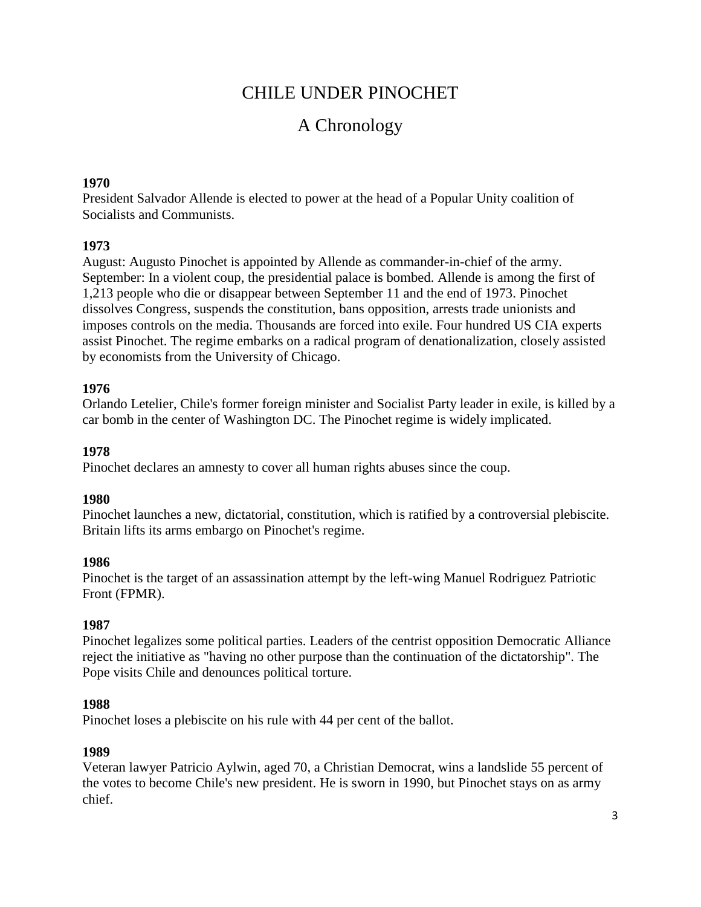## CHILE UNDER PINOCHET

## A Chronology

#### **1970**

President Salvador Allende is elected to power at the head of a Popular Unity coalition of Socialists and Communists.

#### **1973**

August: Augusto Pinochet is appointed by Allende as commander-in-chief of the army. September: In a violent coup, the presidential palace is bombed. Allende is among the first of 1,213 people who die or disappear between September 11 and the end of 1973. Pinochet dissolves Congress, suspends the constitution, bans opposition, arrests trade unionists and imposes controls on the media. Thousands are forced into exile. Four hundred US CIA experts assist Pinochet. The regime embarks on a radical program of denationalization, closely assisted by economists from the University of Chicago.

#### **1976**

Orlando Letelier, Chile's former foreign minister and Socialist Party leader in exile, is killed by a car bomb in the center of Washington DC. The Pinochet regime is widely implicated.

#### **1978**

Pinochet declares an amnesty to cover all human rights abuses since the coup.

#### **1980**

Pinochet launches a new, dictatorial, constitution, which is ratified by a controversial plebiscite. Britain lifts its arms embargo on Pinochet's regime.

#### **1986**

Pinochet is the target of an assassination attempt by the left-wing Manuel Rodriguez Patriotic Front (FPMR).

#### **1987**

Pinochet legalizes some political parties. Leaders of the centrist opposition Democratic Alliance reject the initiative as "having no other purpose than the continuation of the dictatorship". The Pope visits Chile and denounces political torture.

#### **1988**

Pinochet loses a plebiscite on his rule with 44 per cent of the ballot.

#### **1989**

Veteran lawyer Patricio Aylwin, aged 70, a Christian Democrat, wins a landslide 55 percent of the votes to become Chile's new president. He is sworn in 1990, but Pinochet stays on as army chief.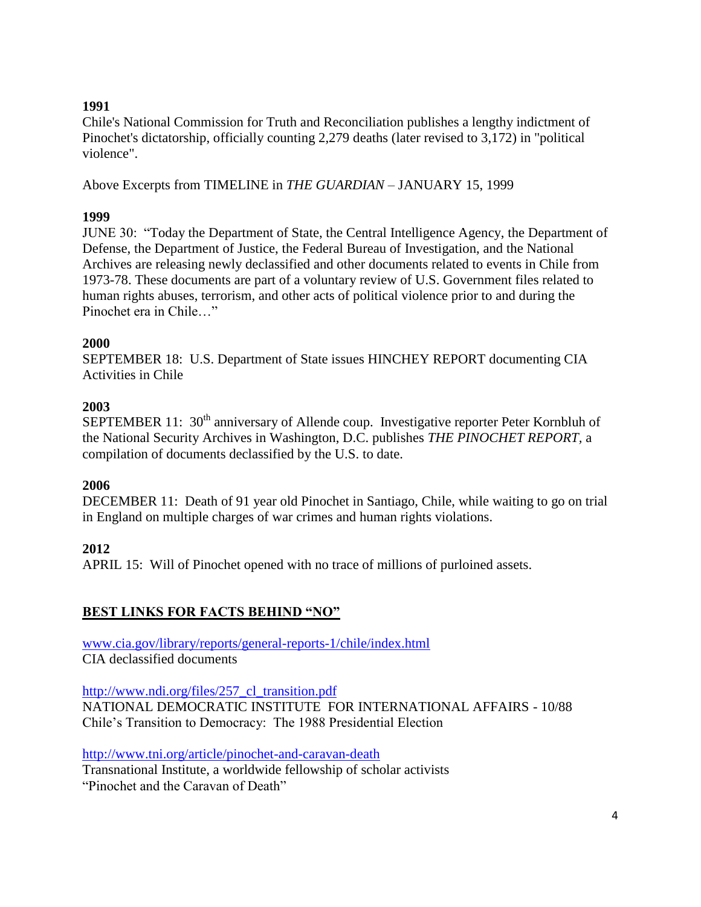#### **1991**

Chile's National Commission for Truth and Reconciliation publishes a lengthy indictment of Pinochet's dictatorship, officially counting 2,279 deaths (later revised to 3,172) in "political violence".

Above Excerpts from TIMELINE in *THE GUARDIAN* – JANUARY 15, 1999

#### **1999**

JUNE 30: "Today the Department of State, the Central Intelligence Agency, the Department of Defense, the Department of Justice, the Federal Bureau of Investigation, and the National Archives are releasing newly declassified and other documents related to events in Chile from 1973-78. These documents are part of a voluntary review of U.S. Government files related to human rights abuses, terrorism, and other acts of political violence prior to and during the Pinochet era in Chile <sup>"</sup>

#### **2000**

SEPTEMBER 18: U.S. Department of State issues HINCHEY REPORT documenting CIA Activities in Chile

#### **2003**

SEPTEMBER 11:  $30<sup>th</sup>$  anniversary of Allende coup. Investigative reporter Peter Kornbluh of the National Security Archives in Washington, D.C. publishes *THE PINOCHET REPORT,* a compilation of documents declassified by the U.S. to date.

#### **2006**

DECEMBER 11: Death of 91 year old Pinochet in Santiago, Chile, while waiting to go on trial in England on multiple charges of war crimes and human rights violations.

#### **2012**

APRIL 15: Will of Pinochet opened with no trace of millions of purloined assets.

#### **BEST LINKS FOR FACTS BEHIND "NO"**

[www.cia.gov/library/reports/general-reports-1/chile/index.html](http://www.cia.gov/library/reports/general-reports-1/chile/index.html) CIA declassified documents

[http://www.ndi.org/files/257\\_cl\\_transition.pdf](http://www.ndi.org/files/257_cl_transition.pdf) NATIONAL DEMOCRATIC INSTITUTE FOR INTERNATIONAL AFFAIRS - 10/88 Chile's Transition to Democracy: The 1988 Presidential Election

<http://www.tni.org/article/pinochet-and-caravan-death>

Transnational Institute, a worldwide fellowship of scholar activists

"Pinochet and the Caravan of Death"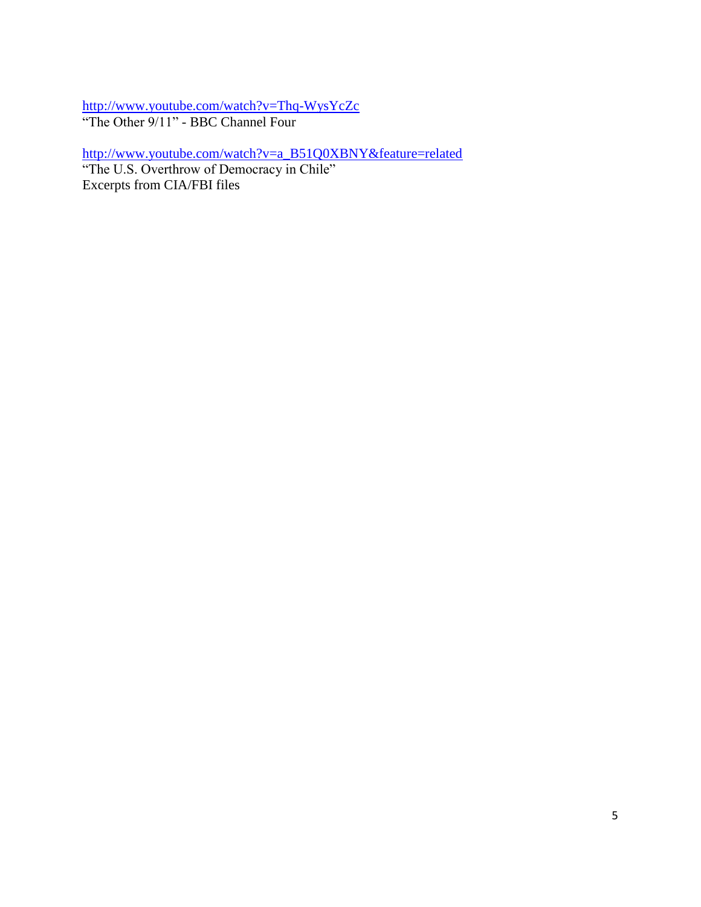<http://www.youtube.com/watch?v=Thq-WysYcZc> "The Other 9/11" - BBC Channel Four

[http://www.youtube.com/watch?v=a\\_B51Q0XBNY&feature=related](http://www.youtube.com/watch?v=a_B51Q0XBNY&feature=related) "The U.S. Overthrow of Democracy in Chile"

Excerpts from CIA/FBI files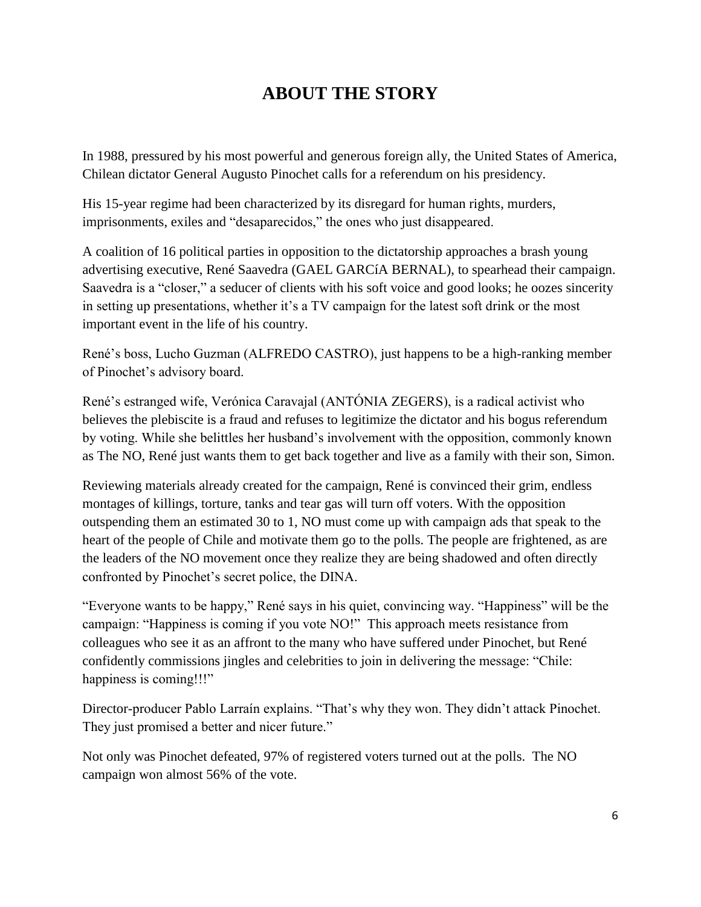## **ABOUT THE STORY**

In 1988, pressured by his most powerful and generous foreign ally, the United States of America, Chilean dictator General Augusto Pinochet calls for a referendum on his presidency.

His 15-year regime had been characterized by its disregard for human rights, murders, imprisonments, exiles and "desaparecidos," the ones who just disappeared.

A coalition of 16 political parties in opposition to the dictatorship approaches a brash young advertising executive, René Saavedra (GAEL GARCíA BERNAL), to spearhead their campaign. Saavedra is a "closer," a seducer of clients with his soft voice and good looks; he oozes sincerity in setting up presentations, whether it's a TV campaign for the latest soft drink or the most important event in the life of his country.

René's boss, Lucho Guzman (ALFREDO CASTRO), just happens to be a high-ranking member of Pinochet's advisory board.

René's estranged wife, Verónica Caravajal (ANTÓNIA ZEGERS), is a radical activist who believes the plebiscite is a fraud and refuses to legitimize the dictator and his bogus referendum by voting. While she belittles her husband's involvement with the opposition, commonly known as The NO, René just wants them to get back together and live as a family with their son, Simon.

Reviewing materials already created for the campaign, René is convinced their grim, endless montages of killings, torture, tanks and tear gas will turn off voters. With the opposition outspending them an estimated 30 to 1, NO must come up with campaign ads that speak to the heart of the people of Chile and motivate them go to the polls. The people are frightened, as are the leaders of the NO movement once they realize they are being shadowed and often directly confronted by Pinochet's secret police, the DINA.

"Everyone wants to be happy," René says in his quiet, convincing way. "Happiness" will be the campaign: "Happiness is coming if you vote NO!" This approach meets resistance from colleagues who see it as an affront to the many who have suffered under Pinochet, but René confidently commissions jingles and celebrities to join in delivering the message: "Chile: happiness is coming!!!"

Director-producer Pablo Larraín explains. "That's why they won. They didn't attack Pinochet. They just promised a better and nicer future."

Not only was Pinochet defeated, 97% of registered voters turned out at the polls. The NO campaign won almost 56% of the vote.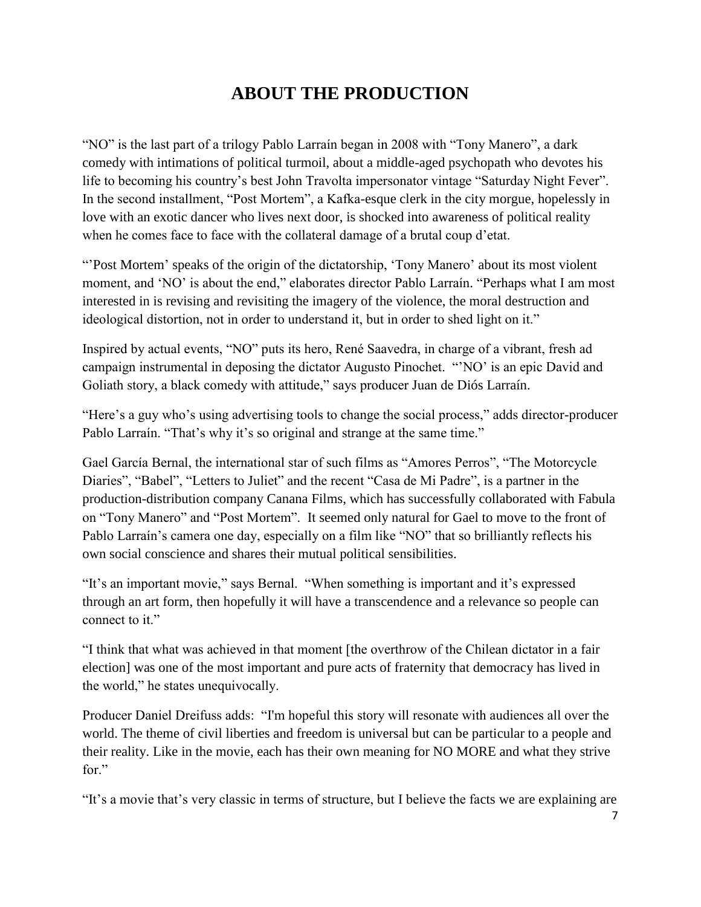## **ABOUT THE PRODUCTION**

"NO" is the last part of a trilogy Pablo Larraín began in 2008 with "Tony Manero", a dark comedy with intimations of political turmoil, about a middle-aged psychopath who devotes his life to becoming his country's best John Travolta impersonator vintage "Saturday Night Fever". In the second installment, "Post Mortem", a Kafka-esque clerk in the city morgue, hopelessly in love with an exotic dancer who lives next door, is shocked into awareness of political reality when he comes face to face with the collateral damage of a brutal coup d'etat.

―'Post Mortem' speaks of the origin of the dictatorship, ‗Tony Manero' about its most violent moment, and 'NO' is about the end," elaborates director Pablo Larraín. "Perhaps what I am most interested in is revising and revisiting the imagery of the violence, the moral destruction and ideological distortion, not in order to understand it, but in order to shed light on it."

Inspired by actual events, "NO" puts its hero, René Saavedra, in charge of a vibrant, fresh ad campaign instrumental in deposing the dictator Augusto Pinochet. "NO' is an epic David and Goliath story, a black comedy with attitude," says producer Juan de Diós Larraín.

"Here's a guy who's using advertising tools to change the social process," adds director-producer Pablo Larraín. "That's why it's so original and strange at the same time."

Gael García Bernal, the international star of such films as "Amores Perros", "The Motorcycle Diaries", "Babel", "Letters to Juliet" and the recent "Casa de Mi Padre", is a partner in the production-distribution company Canana Films, which has successfully collaborated with Fabula on "Tony Manero" and "Post Mortem". It seemed only natural for Gael to move to the front of Pablo Larraín's camera one day, especially on a film like "NO" that so brilliantly reflects his own social conscience and shares their mutual political sensibilities.

"It's an important movie," says Bernal. "When something is important and it's expressed through an art form, then hopefully it will have a transcendence and a relevance so people can connect to it."

―I think that what was achieved in that moment [the overthrow of the Chilean dictator in a fair election] was one of the most important and pure acts of fraternity that democracy has lived in the world," he states unequivocally.

Producer Daniel Dreifuss adds: "I'm hopeful this story will resonate with audiences all over the world. The theme of civil liberties and freedom is universal but can be particular to a people and their reality. Like in the movie, each has their own meaning for NO MORE and what they strive for."

"It's a movie that's very classic in terms of structure, but I believe the facts we are explaining are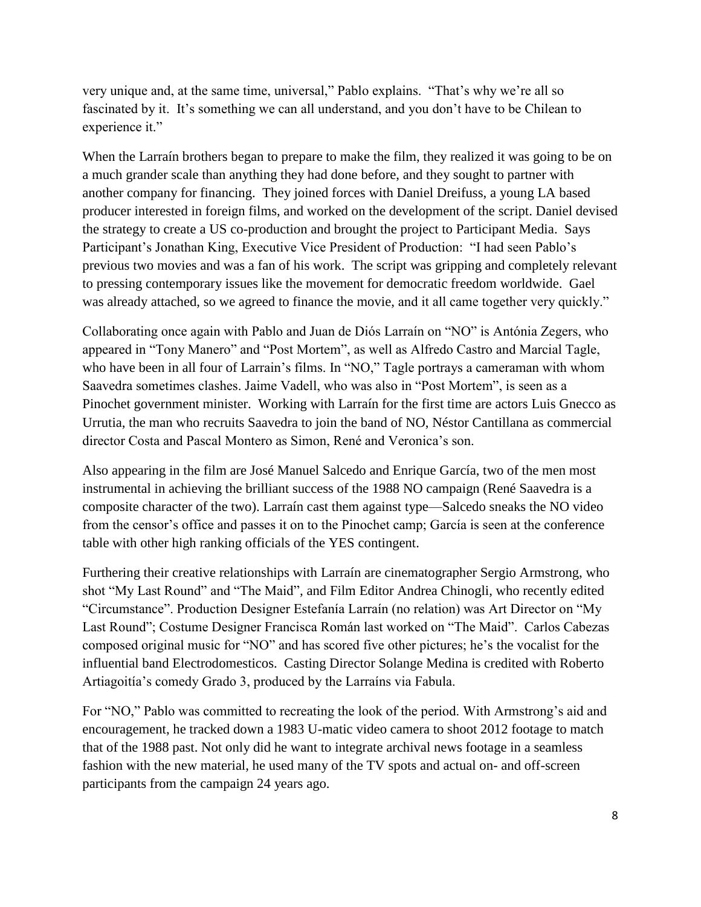very unique and, at the same time, universal," Pablo explains. "That's why we're all so fascinated by it. It's something we can all understand, and you don't have to be Chilean to experience it."

When the Larraín brothers began to prepare to make the film, they realized it was going to be on a much grander scale than anything they had done before, and they sought to partner with another company for financing. They joined forces with Daniel Dreifuss, a young LA based producer interested in foreign films, and worked on the development of the script. Daniel devised the strategy to create a US co-production and brought the project to Participant Media. Says Participant's Jonathan King, Executive Vice President of Production: "I had seen Pablo's previous two movies and was a fan of his work. The script was gripping and completely relevant to pressing contemporary issues like the movement for democratic freedom worldwide. Gael was already attached, so we agreed to finance the movie, and it all came together very quickly."

Collaborating once again with Pablo and Juan de Diós Larraín on "NO" is Antónia Zegers, who appeared in "Tony Manero" and "Post Mortem", as well as Alfredo Castro and Marcial Tagle, who have been in all four of Larrain's films. In "NO," Tagle portrays a cameraman with whom Saavedra sometimes clashes. Jaime Vadell, who was also in "Post Mortem", is seen as a Pinochet government minister. Working with Larraín for the first time are actors Luis Gnecco as Urrutia, the man who recruits Saavedra to join the band of NO, Néstor Cantillana as commercial director Costa and Pascal Montero as Simon, René and Veronica's son.

Also appearing in the film are José Manuel Salcedo and Enrique García, two of the men most instrumental in achieving the brilliant success of the 1988 NO campaign (René Saavedra is a composite character of the two). Larraín cast them against type—Salcedo sneaks the NO video from the censor's office and passes it on to the Pinochet camp; García is seen at the conference table with other high ranking officials of the YES contingent.

Furthering their creative relationships with Larraín are cinematographer Sergio Armstrong, who shot "My Last Round" and "The Maid", and Film Editor Andrea Chinogli, who recently edited "Circumstance". Production Designer Estefanía Larraín (no relation) was Art Director on "My Last Round"; Costume Designer Francisca Román last worked on "The Maid". Carlos Cabezas composed original music for "NO" and has scored five other pictures; he's the vocalist for the influential band Electrodomesticos. Casting Director Solange Medina is credited with Roberto Artiagoitía's comedy Grado 3, produced by the Larraíns via Fabula.

For "NO," Pablo was committed to recreating the look of the period. With Armstrong's aid and encouragement, he tracked down a 1983 U-matic video camera to shoot 2012 footage to match that of the 1988 past. Not only did he want to integrate archival news footage in a seamless fashion with the new material, he used many of the TV spots and actual on- and off-screen participants from the campaign 24 years ago.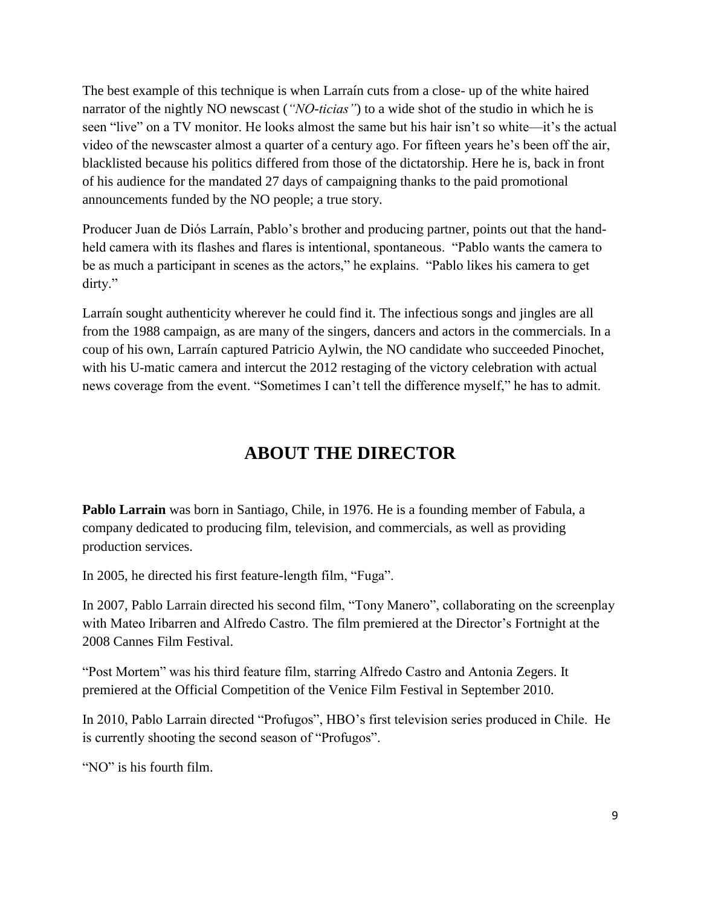The best example of this technique is when Larraín cuts from a close- up of the white haired narrator of the nightly NO newscast (*"NO-ticias"*) to a wide shot of the studio in which he is seen "live" on a TV monitor. He looks almost the same but his hair isn't so white—it's the actual video of the newscaster almost a quarter of a century ago. For fifteen years he's been off the air, blacklisted because his politics differed from those of the dictatorship. Here he is, back in front of his audience for the mandated 27 days of campaigning thanks to the paid promotional announcements funded by the NO people; a true story.

Producer Juan de Diós Larraín, Pablo's brother and producing partner, points out that the handheld camera with its flashes and flares is intentional, spontaneous. "Pablo wants the camera to be as much a participant in scenes as the actors," he explains. "Pablo likes his camera to get dirty."

Larraín sought authenticity wherever he could find it. The infectious songs and jingles are all from the 1988 campaign, as are many of the singers, dancers and actors in the commercials. In a coup of his own, Larraín captured Patricio Aylwin, the NO candidate who succeeded Pinochet, with his U-matic camera and intercut the 2012 restaging of the victory celebration with actual news coverage from the event. "Sometimes I can't tell the difference myself," he has to admit.

## **ABOUT THE DIRECTOR**

**Pablo Larrain** was born in Santiago, Chile, in 1976. He is a founding member of Fabula, a company dedicated to producing film, television, and commercials, as well as providing production services.

In 2005, he directed his first feature-length film, "Fuga".

In 2007, Pablo Larrain directed his second film, "Tony Manero", collaborating on the screenplay with Mateo Iribarren and Alfredo Castro. The film premiered at the Director's Fortnight at the 2008 Cannes Film Festival.

―Post Mortem‖ was his third feature film, starring Alfredo Castro and Antonia Zegers. It premiered at the Official Competition of the Venice Film Festival in September 2010.

In 2010, Pablo Larrain directed "Profugos", HBO's first television series produced in Chile. He is currently shooting the second season of "Profugos".

"NO" is his fourth film.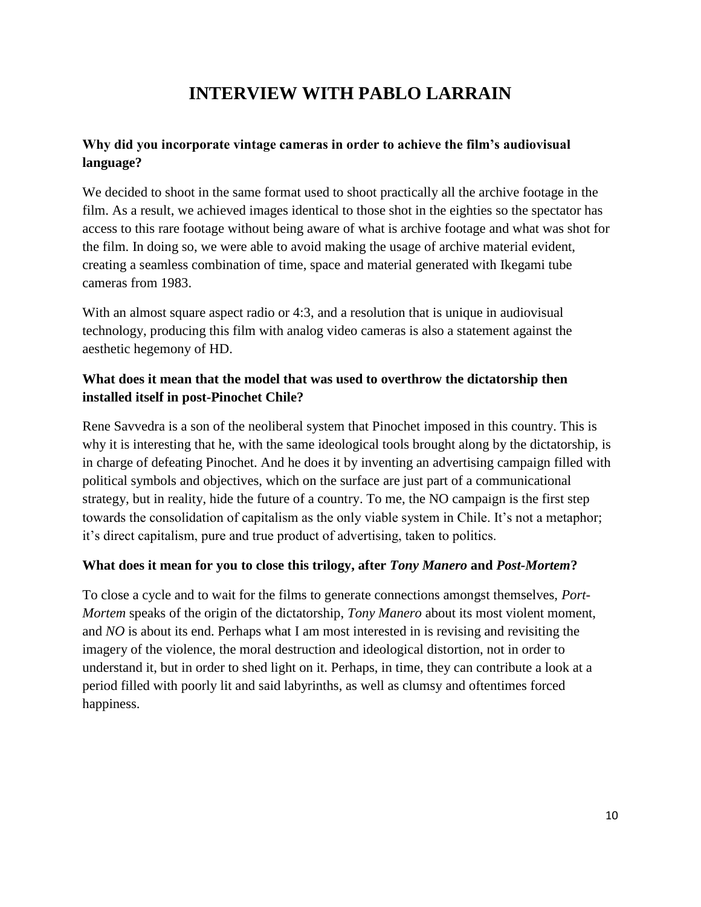## **INTERVIEW WITH PABLO LARRAIN**

#### **Why did you incorporate vintage cameras in order to achieve the film's audiovisual language?**

We decided to shoot in the same format used to shoot practically all the archive footage in the film. As a result, we achieved images identical to those shot in the eighties so the spectator has access to this rare footage without being aware of what is archive footage and what was shot for the film. In doing so, we were able to avoid making the usage of archive material evident, creating a seamless combination of time, space and material generated with Ikegami tube cameras from 1983.

With an almost square aspect radio or 4:3, and a resolution that is unique in audiovisual technology, producing this film with analog video cameras is also a statement against the aesthetic hegemony of HD.

#### **What does it mean that the model that was used to overthrow the dictatorship then installed itself in post-Pinochet Chile?**

Rene Savvedra is a son of the neoliberal system that Pinochet imposed in this country. This is why it is interesting that he, with the same ideological tools brought along by the dictatorship, is in charge of defeating Pinochet. And he does it by inventing an advertising campaign filled with political symbols and objectives, which on the surface are just part of a communicational strategy, but in reality, hide the future of a country. To me, the NO campaign is the first step towards the consolidation of capitalism as the only viable system in Chile. It's not a metaphor; it's direct capitalism, pure and true product of advertising, taken to politics.

#### **What does it mean for you to close this trilogy, after** *Tony Manero* **and** *Post-Mortem***?**

To close a cycle and to wait for the films to generate connections amongst themselves, *Port-Mortem* speaks of the origin of the dictatorship, *Tony Manero* about its most violent moment, and *NO* is about its end. Perhaps what I am most interested in is revising and revisiting the imagery of the violence, the moral destruction and ideological distortion, not in order to understand it, but in order to shed light on it. Perhaps, in time, they can contribute a look at a period filled with poorly lit and said labyrinths, as well as clumsy and oftentimes forced happiness.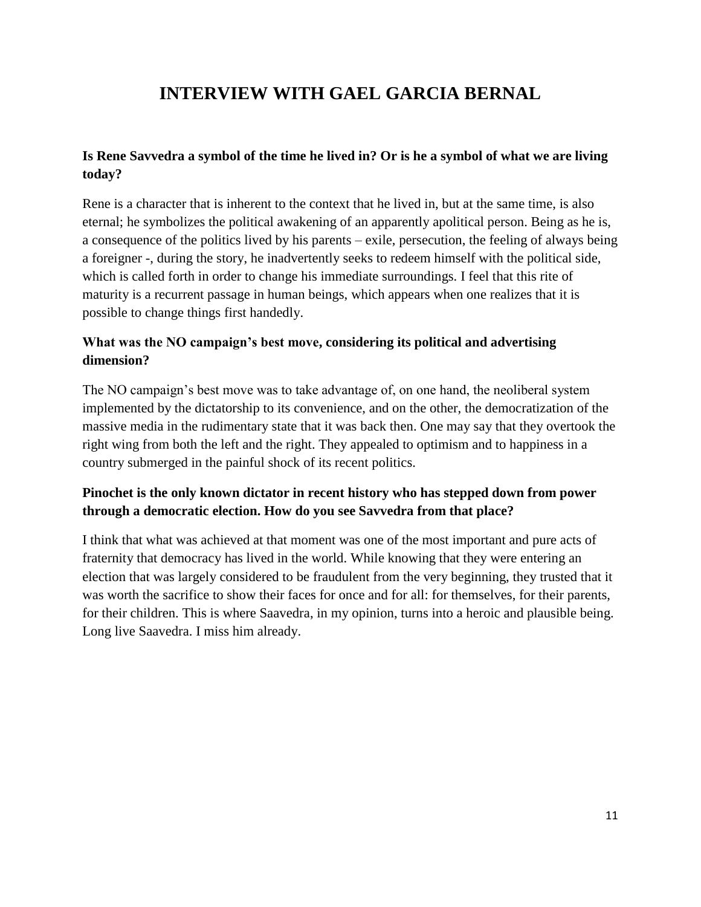## **INTERVIEW WITH GAEL GARCIA BERNAL**

#### **Is Rene Savvedra a symbol of the time he lived in? Or is he a symbol of what we are living today?**

Rene is a character that is inherent to the context that he lived in, but at the same time, is also eternal; he symbolizes the political awakening of an apparently apolitical person. Being as he is, a consequence of the politics lived by his parents – exile, persecution, the feeling of always being a foreigner -, during the story, he inadvertently seeks to redeem himself with the political side, which is called forth in order to change his immediate surroundings. I feel that this rite of maturity is a recurrent passage in human beings, which appears when one realizes that it is possible to change things first handedly.

#### **What was the NO campaign's best move, considering its political and advertising dimension?**

The NO campaign's best move was to take advantage of, on one hand, the neoliberal system implemented by the dictatorship to its convenience, and on the other, the democratization of the massive media in the rudimentary state that it was back then. One may say that they overtook the right wing from both the left and the right. They appealed to optimism and to happiness in a country submerged in the painful shock of its recent politics.

#### **Pinochet is the only known dictator in recent history who has stepped down from power through a democratic election. How do you see Savvedra from that place?**

I think that what was achieved at that moment was one of the most important and pure acts of fraternity that democracy has lived in the world. While knowing that they were entering an election that was largely considered to be fraudulent from the very beginning, they trusted that it was worth the sacrifice to show their faces for once and for all: for themselves, for their parents, for their children. This is where Saavedra, in my opinion, turns into a heroic and plausible being. Long live Saavedra. I miss him already.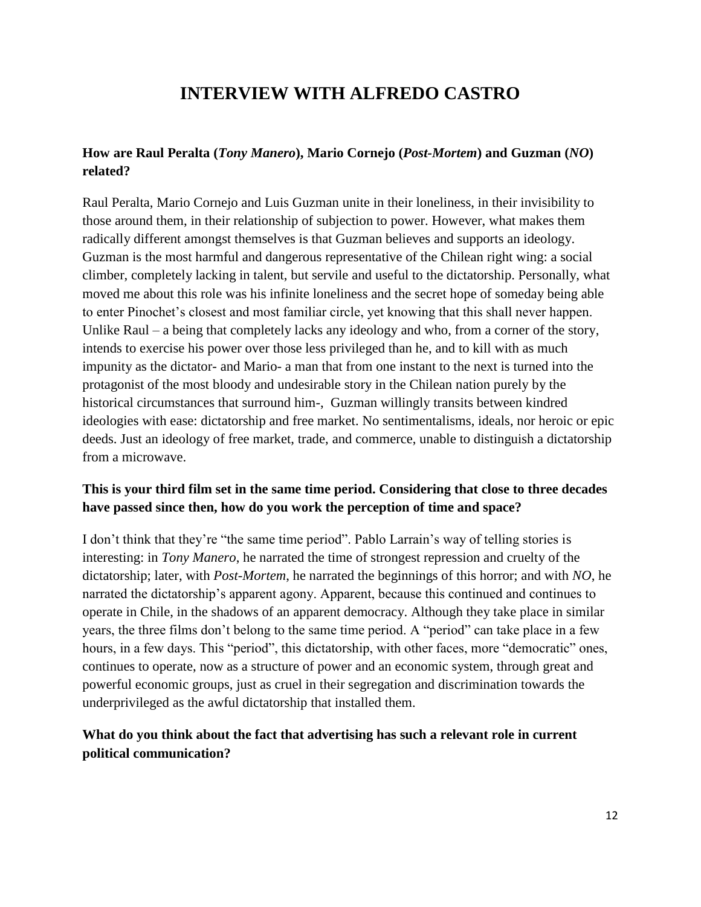## **INTERVIEW WITH ALFREDO CASTRO**

#### **How are Raul Peralta (***Tony Manero***), Mario Cornejo (***Post-Mortem***) and Guzman (***NO***) related?**

Raul Peralta, Mario Cornejo and Luis Guzman unite in their loneliness, in their invisibility to those around them, in their relationship of subjection to power. However, what makes them radically different amongst themselves is that Guzman believes and supports an ideology. Guzman is the most harmful and dangerous representative of the Chilean right wing: a social climber, completely lacking in talent, but servile and useful to the dictatorship. Personally, what moved me about this role was his infinite loneliness and the secret hope of someday being able to enter Pinochet's closest and most familiar circle, yet knowing that this shall never happen. Unlike Raul – a being that completely lacks any ideology and who, from a corner of the story, intends to exercise his power over those less privileged than he, and to kill with as much impunity as the dictator- and Mario- a man that from one instant to the next is turned into the protagonist of the most bloody and undesirable story in the Chilean nation purely by the historical circumstances that surround him-, Guzman willingly transits between kindred ideologies with ease: dictatorship and free market. No sentimentalisms, ideals, nor heroic or epic deeds. Just an ideology of free market, trade, and commerce, unable to distinguish a dictatorship from a microwave.

#### **This is your third film set in the same time period. Considering that close to three decades have passed since then, how do you work the perception of time and space?**

I don't think that they're "the same time period". Pablo Larrain's way of telling stories is interesting: in *Tony Manero*, he narrated the time of strongest repression and cruelty of the dictatorship; later, with *Post-Mortem*, he narrated the beginnings of this horror; and with *NO*, he narrated the dictatorship's apparent agony. Apparent, because this continued and continues to operate in Chile, in the shadows of an apparent democracy. Although they take place in similar years, the three films don't belong to the same time period. A "period" can take place in a few hours, in a few days. This "period", this dictatorship, with other faces, more "democratic" ones, continues to operate, now as a structure of power and an economic system, through great and powerful economic groups, just as cruel in their segregation and discrimination towards the underprivileged as the awful dictatorship that installed them.

#### **What do you think about the fact that advertising has such a relevant role in current political communication?**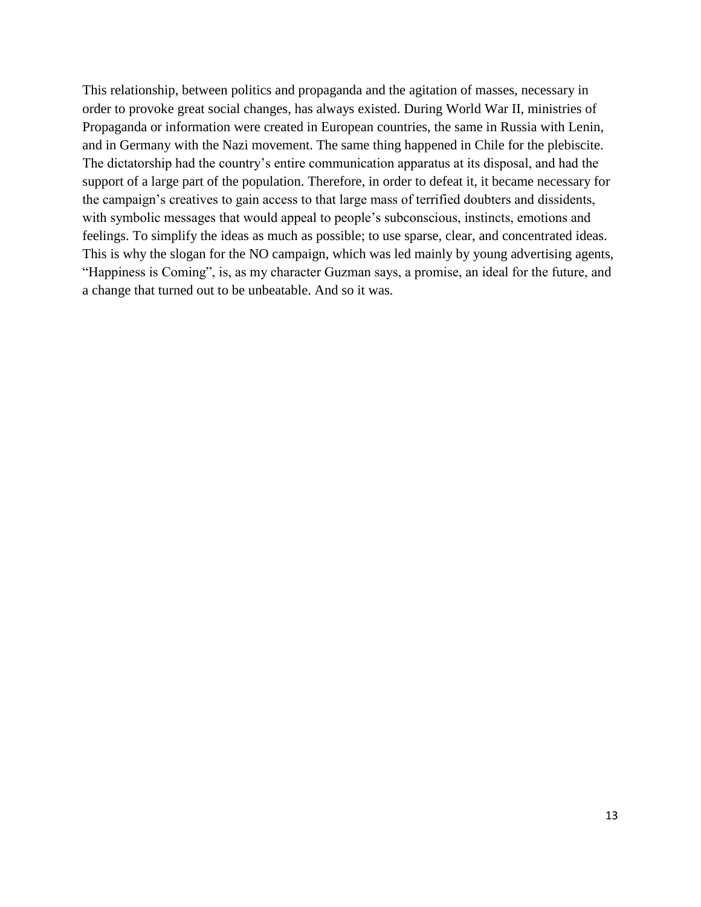This relationship, between politics and propaganda and the agitation of masses, necessary in order to provoke great social changes, has always existed. During World War II, ministries of Propaganda or information were created in European countries, the same in Russia with Lenin, and in Germany with the Nazi movement. The same thing happened in Chile for the plebiscite. The dictatorship had the country's entire communication apparatus at its disposal, and had the support of a large part of the population. Therefore, in order to defeat it, it became necessary for the campaign's creatives to gain access to that large mass of terrified doubters and dissidents, with symbolic messages that would appeal to people's subconscious, instincts, emotions and feelings. To simplify the ideas as much as possible; to use sparse, clear, and concentrated ideas. This is why the slogan for the NO campaign, which was led mainly by young advertising agents, "Happiness is Coming", is, as my character Guzman says, a promise, an ideal for the future, and a change that turned out to be unbeatable. And so it was.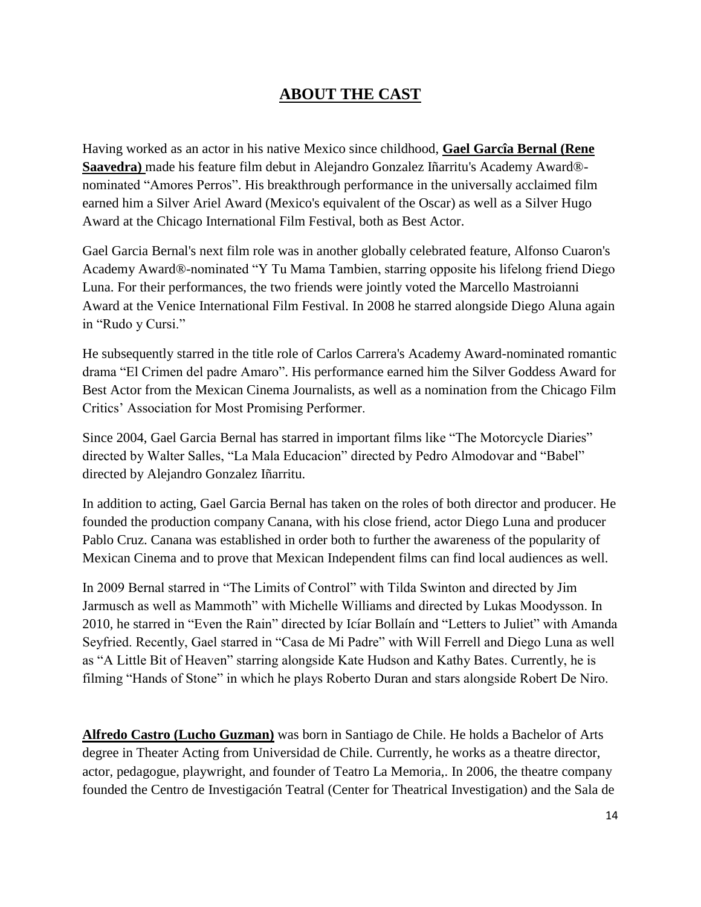### **ABOUT THE CAST**

Having worked as an actor in his native Mexico since childhood, **Gael Garcîa Bernal (Rene Saavedra)** made his feature film debut in Alejandro Gonzalez Iñarritu's Academy Award® nominated "Amores Perros". His breakthrough performance in the universally acclaimed film earned him a Silver Ariel Award (Mexico's equivalent of the Oscar) as well as a Silver Hugo Award at the Chicago International Film Festival, both as Best Actor.

Gael Garcia Bernal's next film role was in another globally celebrated feature, Alfonso Cuaron's Academy Award®-nominated "Y Tu Mama Tambien, starring opposite his lifelong friend Diego Luna. For their performances, the two friends were jointly voted the Marcello Mastroianni Award at the Venice International Film Festival. In 2008 he starred alongside Diego Aluna again in "Rudo y Cursi."

He subsequently starred in the title role of Carlos Carrera's Academy Award-nominated romantic drama "El Crimen del padre Amaro". His performance earned him the Silver Goddess Award for Best Actor from the Mexican Cinema Journalists, as well as a nomination from the Chicago Film Critics' Association for Most Promising Performer.

Since 2004, Gael Garcia Bernal has starred in important films like "The Motorcycle Diaries" directed by Walter Salles, "La Mala Educacion" directed by Pedro Almodovar and "Babel" directed by Alejandro Gonzalez Iñarritu.

In addition to acting, Gael Garcia Bernal has taken on the roles of both director and producer. He founded the production company Canana, with his close friend, actor Diego Luna and producer Pablo Cruz. Canana was established in order both to further the awareness of the popularity of Mexican Cinema and to prove that Mexican Independent films can find local audiences as well.

In 2009 Bernal starred in "The Limits of Control" with Tilda Swinton and directed by Jim Jarmusch as well as Mammoth" with Michelle Williams and directed by Lukas Moodysson. In 2010, he starred in "Even the Rain" directed by [Icíar Bollaín](http://www.imdb.com/name/nm0093081/) and "Letters to Juliet" with Amanda Seyfried. Recently, Gael starred in "Casa de Mi Padre" with Will Ferrell and Diego Luna as well as "A Little Bit of Heaven" starring alongside Kate Hudson and Kathy Bates. Currently, he is filming "Hands of Stone" in which he plays Roberto Duran and stars alongside Robert De Niro.

**Alfredo Castro (Lucho Guzman)** was born in Santiago de Chile. He holds a Bachelor of Arts degree in Theater Acting from Universidad de Chile. Currently, he works as a theatre director, actor, pedagogue, playwright, and founder of Teatro La Memoria,. In 2006, the theatre company founded the Centro de Investigación Teatral (Center for Theatrical Investigation) and the Sala de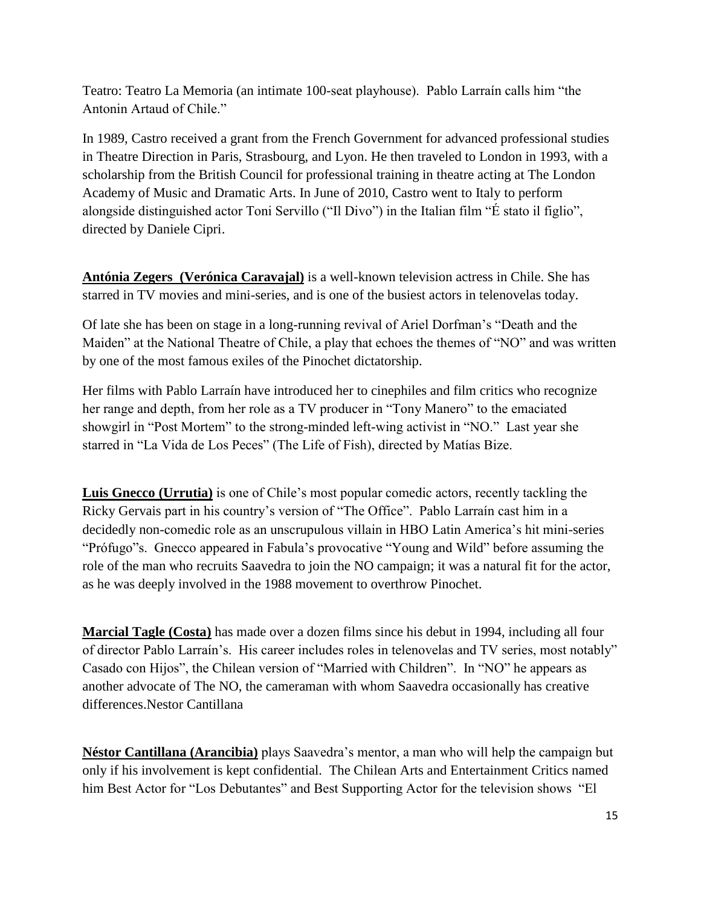Teatro: Teatro La Memoria (an intimate 100-seat playhouse). Pablo Larraín calls him "the Antonin Artaud of Chile."

In 1989, Castro received a grant from the French Government for advanced professional studies in Theatre Direction in Paris, Strasbourg, and Lyon. He then traveled to London in 1993, with a scholarship from the British Council for professional training in theatre acting at The London Academy of Music and Dramatic Arts. In June of 2010, Castro went to Italy to perform alongside distinguished actor Toni Servillo ("Il Divo") in the Italian film "É stato il figlio", directed by Daniele Cipri.

**Antónia Zegers (Verónica Caravajal)** is a well-known television actress in Chile. She has starred in TV movies and mini-series, and is one of the busiest actors in telenovelas today.

Of late she has been on stage in a long-running revival of Ariel Dorfman's "Death and the Maiden" at the National Theatre of Chile, a play that echoes the themes of "NO" and was written by one of the most famous exiles of the Pinochet dictatorship.

Her films with Pablo Larraín have introduced her to cinephiles and film critics who recognize her range and depth, from her role as a TV producer in "Tony Manero" to the emaciated showgirl in "Post Mortem" to the strong-minded left-wing activist in "NO." Last year she starred in "La Vida de Los Peces" (The Life of Fish), directed by Matías Bize.

**Luis Gnecco (Urrutia)** is one of Chile's most popular comedic actors, recently tackling the Ricky Gervais part in his country's version of "The Office". Pablo Larraín cast him in a decidedly non-comedic role as an unscrupulous villain in HBO Latin America's hit mini-series "Prófugo"s. Gnecco appeared in Fabula's provocative "Young and Wild" before assuming the role of the man who recruits Saavedra to join the NO campaign; it was a natural fit for the actor, as he was deeply involved in the 1988 movement to overthrow Pinochet.

**Marcial Tagle (Costa)** has made over a dozen films since his debut in 1994, including all four of director Pablo Larraín's. His career includes roles in telenovelas and TV series, most notably" Casado con Hijos", the Chilean version of "Married with Children". In "NO" he appears as another advocate of The NO, the cameraman with whom Saavedra occasionally has creative differences.Nestor Cantillana

**Néstor Cantillana (Arancibia)** plays Saavedra's mentor, a man who will help the campaign but only if his involvement is kept confidential. The Chilean Arts and Entertainment Critics named him Best Actor for "Los Debutantes" and Best Supporting Actor for the television shows "El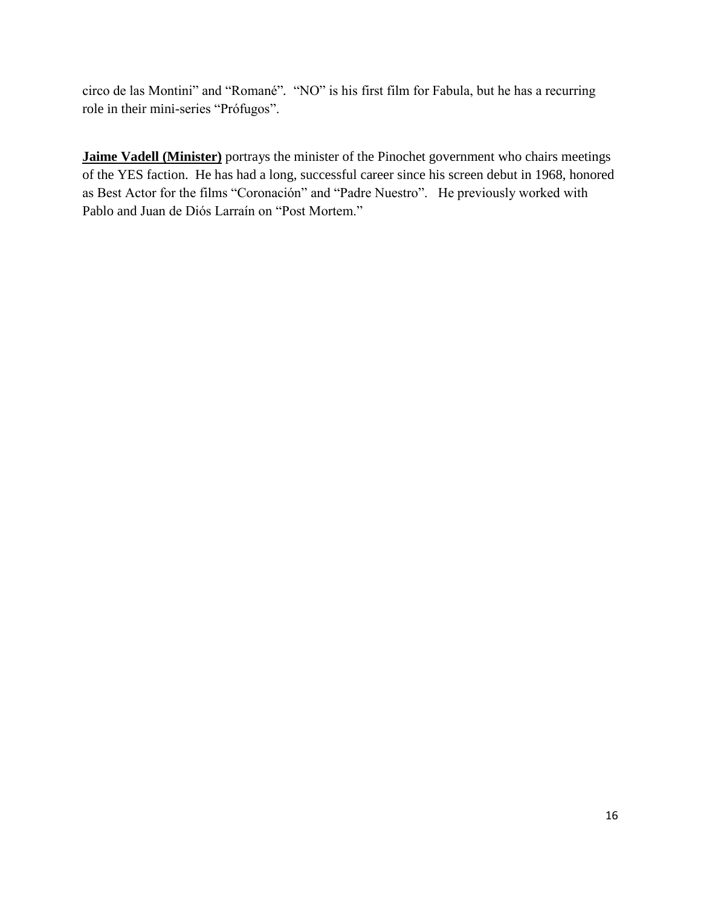circo de las Montini" and "Romané". "NO" is his first film for Fabula, but he has a recurring role in their mini-series "Prófugos".

**Jaime Vadell (Minister)** portrays the minister of the Pinochet government who chairs meetings of the YES faction. He has had a long, successful career since his screen debut in 1968, honored as Best Actor for the films "Coronación" and "Padre Nuestro". He previously worked with Pablo and Juan de Diós Larraín on "Post Mortem."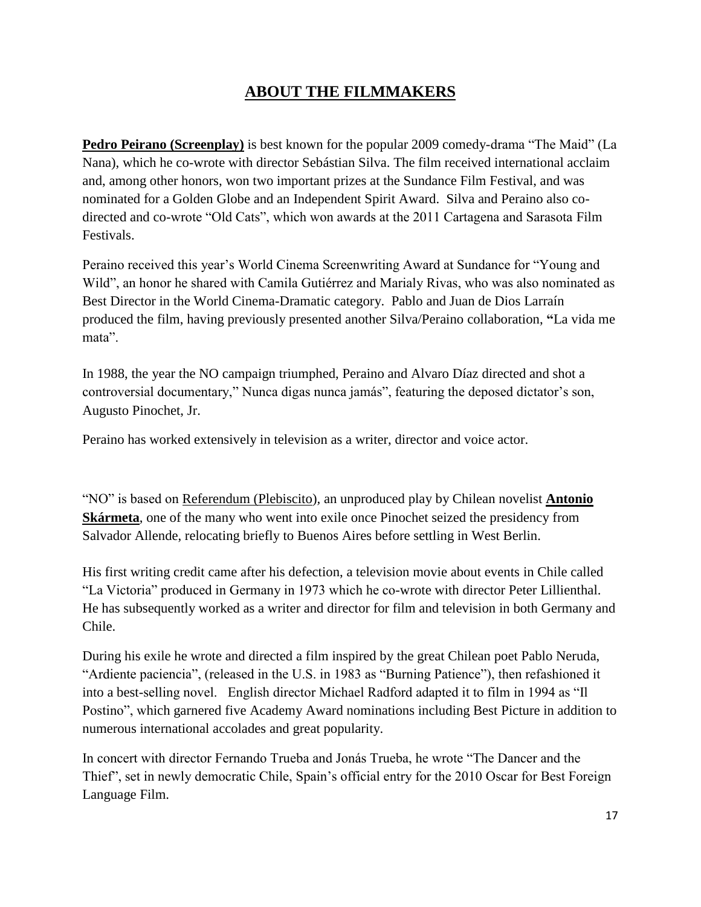## **ABOUT THE FILMMAKERS**

**Pedro Peirano** (Screenplay) is best known for the popular 2009 comedy-drama "The Maid" (La Nana), which he co-wrote with director Sebástian Silva. The film received international acclaim and, among other honors, won two important prizes at the Sundance Film Festival, and was nominated for a Golden Globe and an Independent Spirit Award. Silva and Peraino also codirected and co-wrote "Old Cats", which won awards at the 2011 Cartagena and Sarasota Film Festivals.

Peraino received this year's World Cinema Screenwriting Award at Sundance for "Young and Wild", an honor he shared with Camila Gutiérrez and Marialy Rivas, who was also nominated as Best Director in the World Cinema-Dramatic category. Pablo and Juan de Dios Larraín produced the film, having previously presented another Silva/Peraino collaboration, **"**La vida me mata".

In 1988, the year the NO campaign triumphed, Peraino and Alvaro Díaz directed and shot a controversial documentary," Nunca digas nunca jamás", featuring the deposed dictator's son, Augusto Pinochet, Jr.

Peraino has worked extensively in television as a writer, director and voice actor.

―NO‖ is based on Referendum (Plebiscito)*,* an unproduced play by Chilean novelist **Antonio Skármeta**, one of the many who went into exile once Pinochet seized the presidency from Salvador Allende, relocating briefly to Buenos Aires before settling in West Berlin.

His first writing credit came after his defection, a television movie about events in Chile called ―La Victoria‖ produced in Germany in 1973 which he co-wrote with director Peter Lillienthal. He has subsequently worked as a writer and director for film and television in both Germany and Chile.

During his exile he wrote and directed a film inspired by the great Chilean poet Pablo Neruda, "Ardiente paciencia", (released in the U.S. in 1983 as "Burning Patience"), then refashioned it into a best-selling novel. English director Michael Radford adapted it to film in 1994 as "Il Postino", which garnered five Academy Award nominations including Best Picture in addition to numerous international accolades and great popularity.

In concert with director Fernando Trueba and Jonás Trueba, he wrote "The Dancer and the Thief", set in newly democratic Chile, Spain's official entry for the 2010 Oscar for Best Foreign Language Film.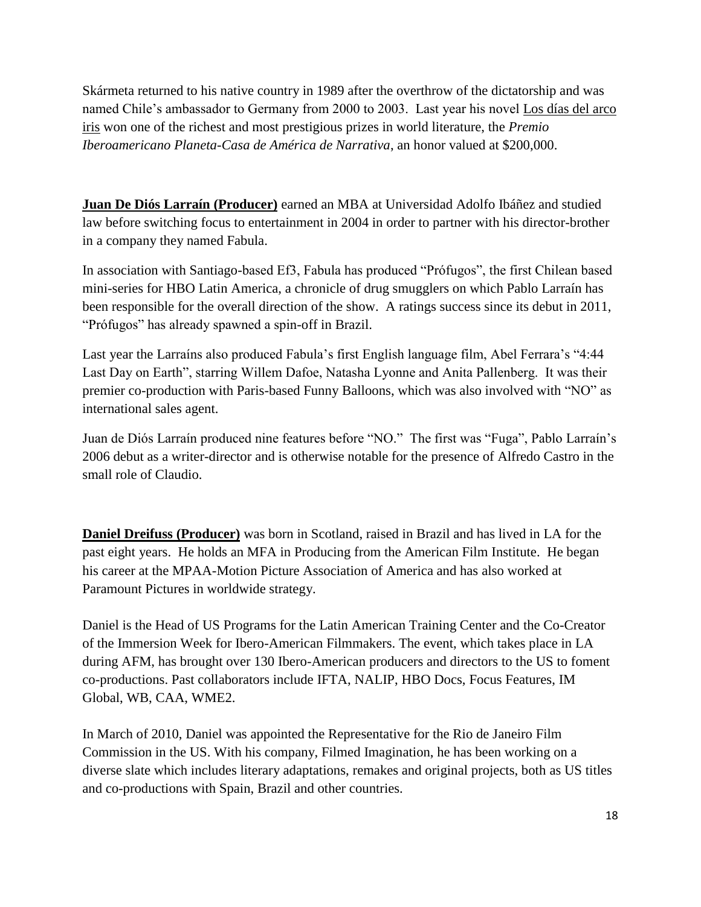Skármeta returned to his native country in 1989 after the overthrow of the dictatorship and was named Chile's ambassador to Germany from 2000 to 2003. Last year his novel Los días del arco iris won one of the richest and most prestigious prizes in world literature, the *Premio Iberoamericano Planeta-Casa de América de Narrativa*, an honor valued at \$200,000.

**Juan De Diós Larraín (Producer)** earned an MBA at Universidad Adolfo Ibáñez and studied law before switching focus to entertainment in 2004 in order to partner with his director-brother in a company they named Fabula.

In association with Santiago-based Ef3, Fabula has produced "Prófugos", the first Chilean based mini-series for HBO Latin America, a chronicle of drug smugglers on which Pablo Larraín has been responsible for the overall direction of the show. A ratings success since its debut in 2011, ―Prófugos‖ has already spawned a spin-off in Brazil.

Last year the Larraíns also produced Fabula's first English language film, Abel Ferrara's "4:44" Last Day on Earth", starring Willem Dafoe, Natasha Lyonne and Anita Pallenberg. It was their premier co-production with Paris-based Funny Balloons, which was also involved with "NO" as international sales agent.

Juan de Diós Larraín produced nine features before "NO." The first was "Fuga", Pablo Larraín's 2006 debut as a writer-director and is otherwise notable for the presence of Alfredo Castro in the small role of Claudio.

**Daniel Dreifuss (Producer)** was born in Scotland, raised in Brazil and has lived in LA for the past eight years. He holds an MFA in Producing from the American Film Institute. He began his career at the MPAA-Motion Picture Association of America and has also worked at Paramount Pictures in worldwide strategy.

Daniel is the Head of US Programs for the Latin American Training Center and the Co-Creator of the Immersion Week for Ibero-American Filmmakers. The event, which takes place in LA during AFM, has brought over 130 Ibero-American producers and directors to the US to foment co-productions. Past collaborators include IFTA, NALIP, HBO Docs, Focus Features, IM Global, WB, CAA, WME2.

In March of 2010, Daniel was appointed the Representative for the Rio de Janeiro Film Commission in the US. With his company, Filmed Imagination, he has been working on a diverse slate which includes literary adaptations, remakes and original projects, both as US titles and co-productions with Spain, Brazil and other countries.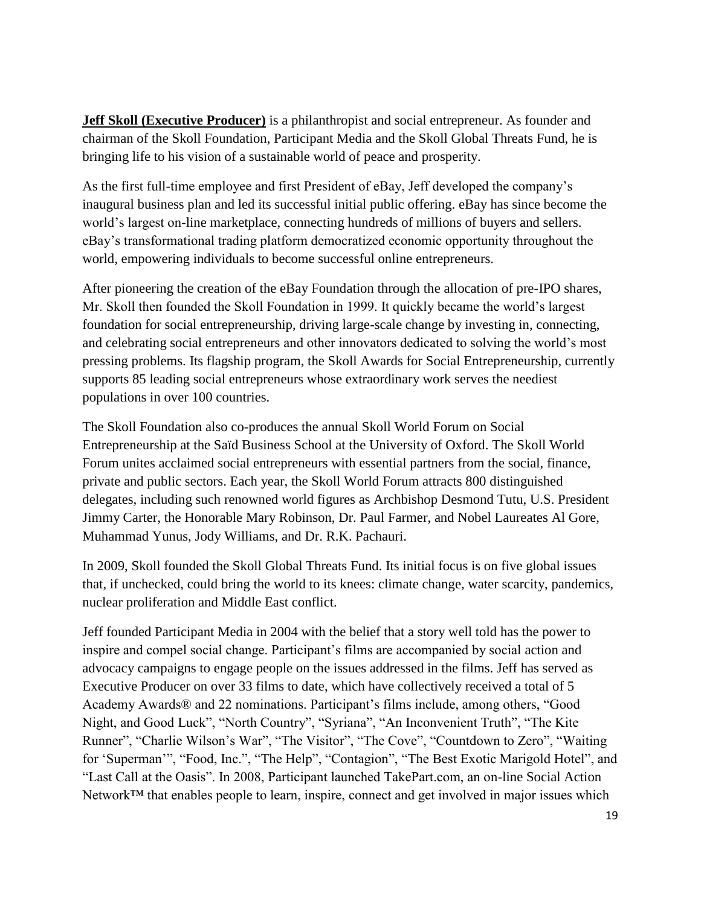**Jeff Skoll (Executive Producer)** is a philanthropist and social entrepreneur. As founder and chairman of the Skoll Foundation, Participant Media and the Skoll Global Threats Fund, he is bringing life to his vision of a sustainable world of peace and prosperity.

As the first full-time employee and first President of eBay, Jeff developed the company's inaugural business plan and led its successful initial public offering. eBay has since become the world's largest on-line marketplace, connecting hundreds of millions of buyers and sellers. eBay's transformational trading platform democratized economic opportunity throughout the world, empowering individuals to become successful online entrepreneurs.

After pioneering the creation of the eBay Foundation through the allocation of pre-IPO shares, Mr. Skoll then founded the Skoll Foundation in 1999. It quickly became the world's largest foundation for social entrepreneurship, driving large-scale change by investing in, connecting, and celebrating social entrepreneurs and other innovators dedicated to solving the world's most pressing problems. Its flagship program, the Skoll Awards for Social Entrepreneurship, currently supports 85 leading social entrepreneurs whose extraordinary work serves the neediest populations in over 100 countries.

The Skoll Foundation also co-produces the annual Skoll World Forum on Social Entrepreneurship at the Saïd Business School at the University of Oxford. The Skoll World Forum unites acclaimed social entrepreneurs with essential partners from the social, finance, private and public sectors. Each year, the Skoll World Forum attracts 800 distinguished delegates, including such renowned world figures as Archbishop Desmond Tutu, U.S. President Jimmy Carter, the Honorable Mary Robinson, Dr. Paul Farmer, and Nobel Laureates Al Gore, Muhammad Yunus, Jody Williams, and Dr. R.K. Pachauri.

In 2009, Skoll founded the Skoll Global Threats Fund. Its initial focus is on five global issues that, if unchecked, could bring the world to its knees: climate change, water scarcity, pandemics, nuclear proliferation and Middle East conflict.

Jeff founded Participant Media in 2004 with the belief that a story well told has the power to inspire and compel social change. Participant's films are accompanied by social action and advocacy campaigns to engage people on the issues addressed in the films. Jeff has served as Executive Producer on over 33 films to date, which have collectively received a total of 5 Academy Awards® and 22 nominations. Participant's films include, among others, "Good Night, and Good Luck", "North Country", "Syriana", "An Inconvenient Truth", "The Kite Runner", "Charlie Wilson's War", "The Visitor", "The Cove", "Countdown to Zero", "Waiting for 'Superman'", "Food, Inc.", "The Help", "Contagion", "The Best Exotic Marigold Hotel", and ―Last Call at the Oasis‖. In 2008, Participant launched TakePart.com, an on-line Social Action Network<sup>™</sup> that enables people to learn, inspire, connect and get involved in major issues which